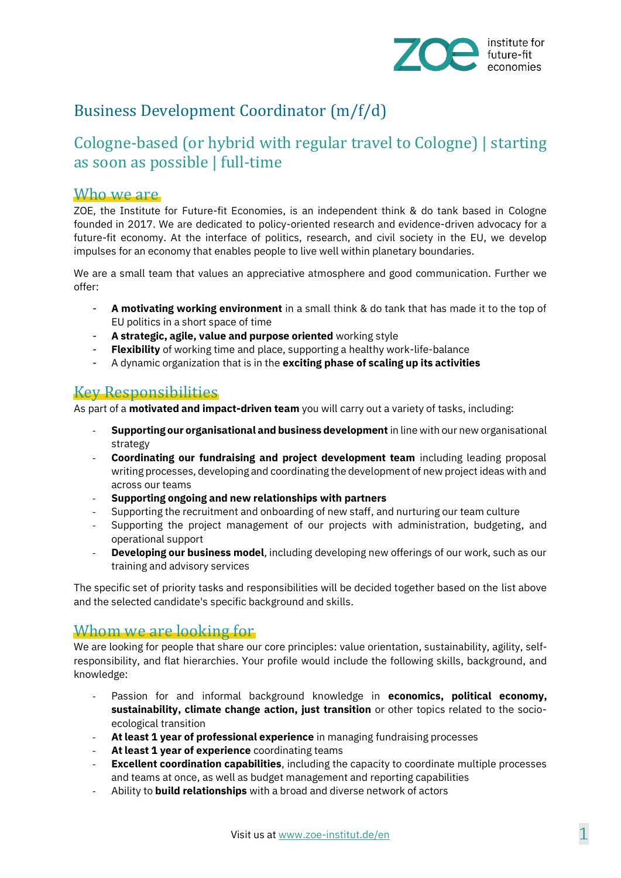

# Business Development Coordinator (m/f/d)

## Cologne-based (or hybrid with regular travel to Cologne) | starting as soon as possible | full-time

#### Who we are

ZOE, the Institute for Future-fit Economies, is an independent think & do tank based in Cologne founded in 2017. We are dedicated to policy-oriented research and evidence-driven advocacy for a future-fit economy. At the interface of politics, research, and civil society in the EU, we develop impulses for an economy that enables people to live well within planetary boundaries.

We are a small team that values an appreciative atmosphere and good communication. Further we offer:

- **A motivating working environment** in a small think & do tank that has made it to the top of EU politics in a short space of time
- **A strategic, agile, value and purpose oriented** working style
- **Flexibility** of working time and place, supporting a healthy work-life-balance
- A dynamic organization that is in the **exciting phase of scaling up its activities**

## Key Responsibilities

As part of a **motivated and impact-driven team** you will carry out a variety of tasks, including:

- **Supporting our organisational and business development** in line with our new organisational strategy
- **Coordinating our fundraising and project development team** including leading proposal writing processes, developing and coordinating the development of new project ideas with and across our teams
- **Supporting ongoing and new relationships with partners**
- Supporting the recruitment and onboarding of new staff, and nurturing our team culture
- Supporting the project management of our projects with administration, budgeting, and operational support
- **Developing our business model**, including developing new offerings of our work, such as our training and advisory services

The specific set of priority tasks and responsibilities will be decided together based on the list above and the selected candidate's specific background and skills.

### Whom we are looking for

We are looking for people that share our core principles: value orientation, sustainability, agility, selfresponsibility, and flat hierarchies. Your profile would include the following skills, background, and knowledge:

- Passion for and informal background knowledge in **economics, political economy, sustainability, climate change action, just transition** or other topics related to the socioecological transition
- **At least 1 year of professional experience** in managing fundraising processes
- At least 1 year of experience coordinating teams
- **Excellent coordination capabilities**, including the capacity to coordinate multiple processes and teams at once, as well as budget management and reporting capabilities
- Ability to **build relationships** with a broad and diverse network of actors